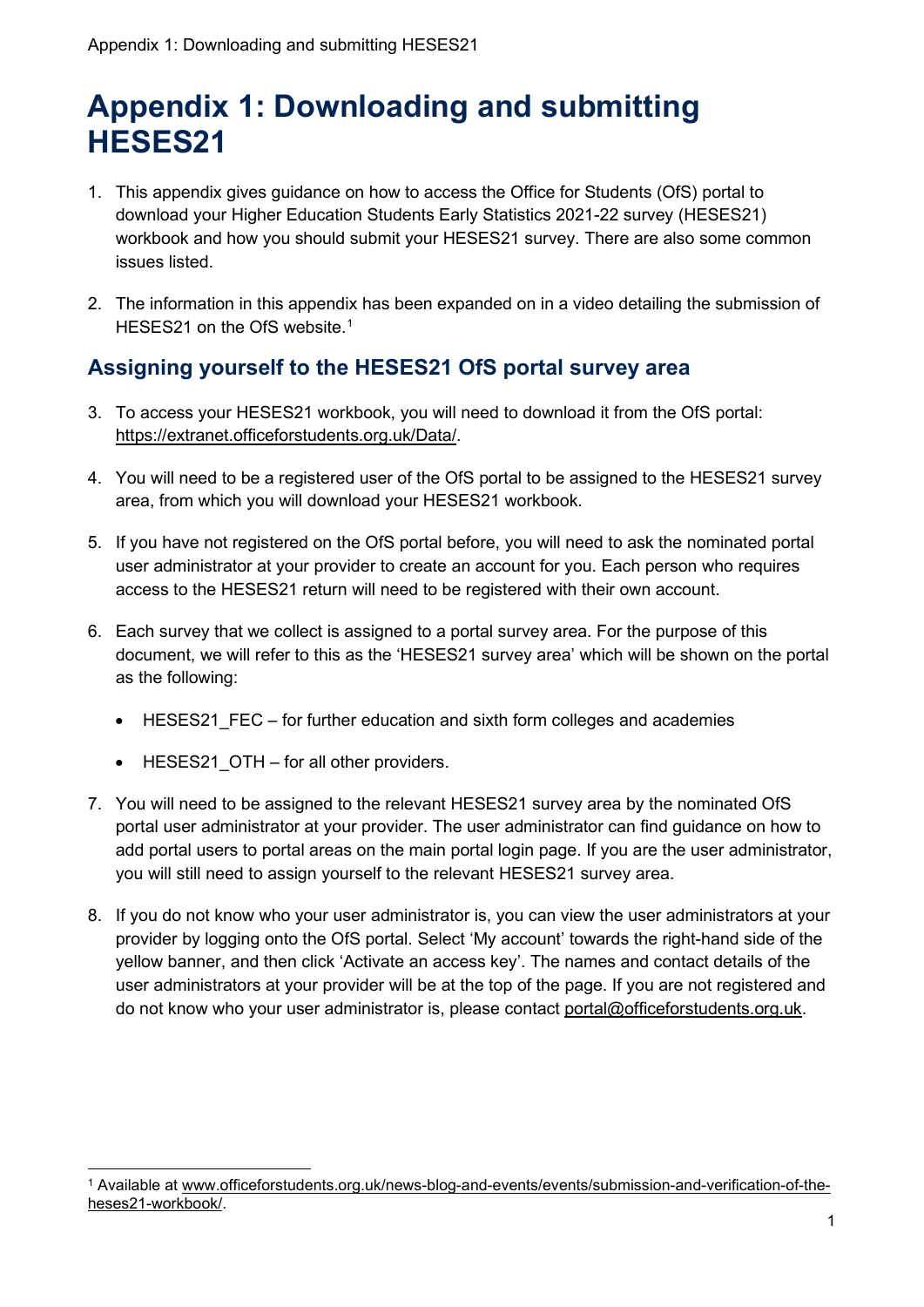# **Appendix 1: Downloading and submitting HESES21**

- 1. This appendix gives guidance on how to access the Office for Students (OfS) portal to download your Higher Education Students Early Statistics 2021-22 survey (HESES21) workbook and how you should submit your HESES21 survey. There are also some common issues listed.
- 2. The information in this appendix has been expanded on in a video detailing the submission of HESES21 on the OfS website. [1](#page-0-0)

## **Assigning yourself to the HESES21 OfS portal survey area**

- 3. To access your HESES21 workbook, you will need to download it from the OfS portal: [https://extranet.officeforstudents.org.uk/Data/.](https://extranet.officeforstudents.org.uk/Data/)
- 4. You will need to be a registered user of the OfS portal to be assigned to the HESES21 survey area, from which you will download your HESES21 workbook.
- 5. If you have not registered on the OfS portal before, you will need to ask the nominated portal user administrator at your provider to create an account for you. Each person who requires access to the HESES21 return will need to be registered with their own account.
- 6. Each survey that we collect is assigned to a portal survey area. For the purpose of this document, we will refer to this as the 'HESES21 survey area' which will be shown on the portal as the following:
	- HESES21\_FEC for further education and sixth form colleges and academies
	- HESES21 OTH for all other providers.
- 7. You will need to be assigned to the relevant HESES21 survey area by the nominated OfS portal user administrator at your provider. The user administrator can find guidance on how to add portal users to portal areas on the main portal login page. If you are the user administrator, you will still need to assign yourself to the relevant HESES21 survey area.
- 8. If you do not know who your user administrator is, you can view the user administrators at your provider by logging onto the OfS portal. Select 'My account' towards the right-hand side of the yellow banner, and then click 'Activate an access key'. The names and contact details of the user administrators at your provider will be at the top of the page. If you are not registered and do not know who your user administrator is, please contact [portal@officeforstudents.org.uk.](mailto:portal@officeforstudents.org.uk)

<span id="page-0-0"></span><sup>1</sup> Available at [www.officeforstudents.org.uk/news-blog-and-events/events/submission-and-verification-of-the](http://www.officeforstudents.org.uk/news-blog-and-events/events/submission-and-verification-of-the-heses21-workbook/)[heses21-workbook/.](http://www.officeforstudents.org.uk/news-blog-and-events/events/submission-and-verification-of-the-heses21-workbook/)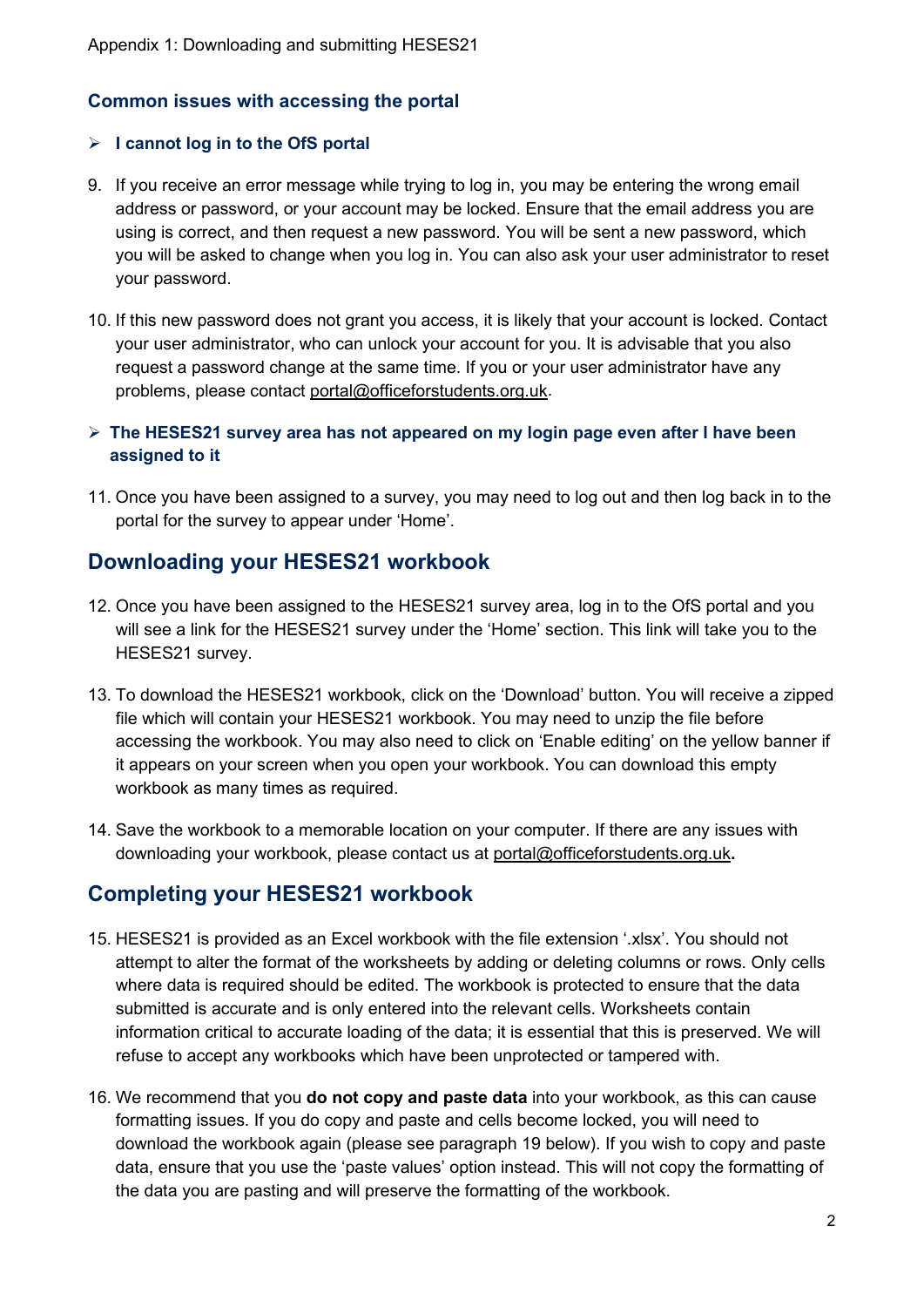## **Common issues with accessing the portal**

## **I cannot log in to the OfS portal**

- 9. If you receive an error message while trying to log in, you may be entering the wrong email address or password, or your account may be locked. Ensure that the email address you are using is correct, and then request a new password. You will be sent a new password, which you will be asked to change when you log in. You can also ask your user administrator to reset your password.
- 10. If this new password does not grant you access, it is likely that your account is locked. Contact your user administrator, who can unlock your account for you. It is advisable that you also request a password change at the same time. If you or your user administrator have any problems, please contact [portal@officeforstudents.org.uk.](mailto:portal@officeforstudents.org.uk)
- **The HESES21 survey area has not appeared on my login page even after I have been assigned to it**
- 11. Once you have been assigned to a survey, you may need to log out and then log back in to the portal for the survey to appear under 'Home'.

## **Downloading your HESES21 workbook**

- 12. Once you have been assigned to the HESES21 survey area, log in to the OfS portal and you will see a link for the HESES21 survey under the 'Home' section. This link will take you to the HESES21 survey.
- 13. To download the HESES21 workbook, click on the 'Download' button. You will receive a zipped file which will contain your HESES21 workbook. You may need to unzip the file before accessing the workbook. You may also need to click on 'Enable editing' on the yellow banner if it appears on your screen when you open your workbook. You can download this empty workbook as many times as required.
- 14. Save the workbook to a memorable location on your computer. If there are any issues with downloading your workbook, please contact us at [portal@officeforstudents.org.uk](mailto:portal@officeforstudents.org.uk)**.**

## **Completing your HESES21 workbook**

- 15. HESES21 is provided as an Excel workbook with the file extension '.xlsx'. You should not attempt to alter the format of the worksheets by adding or deleting columns or rows. Only cells where data is required should be edited. The workbook is protected to ensure that the data submitted is accurate and is only entered into the relevant cells. Worksheets contain information critical to accurate loading of the data; it is essential that this is preserved. We will refuse to accept any workbooks which have been unprotected or tampered with.
- 16. We recommend that you **do not copy and paste data** into your workbook, as this can cause formatting issues. If you do copy and paste and cells become locked, you will need to download the workbook again (please see paragraph 19 below). If you wish to copy and paste data, ensure that you use the 'paste values' option instead. This will not copy the formatting of the data you are pasting and will preserve the formatting of the workbook.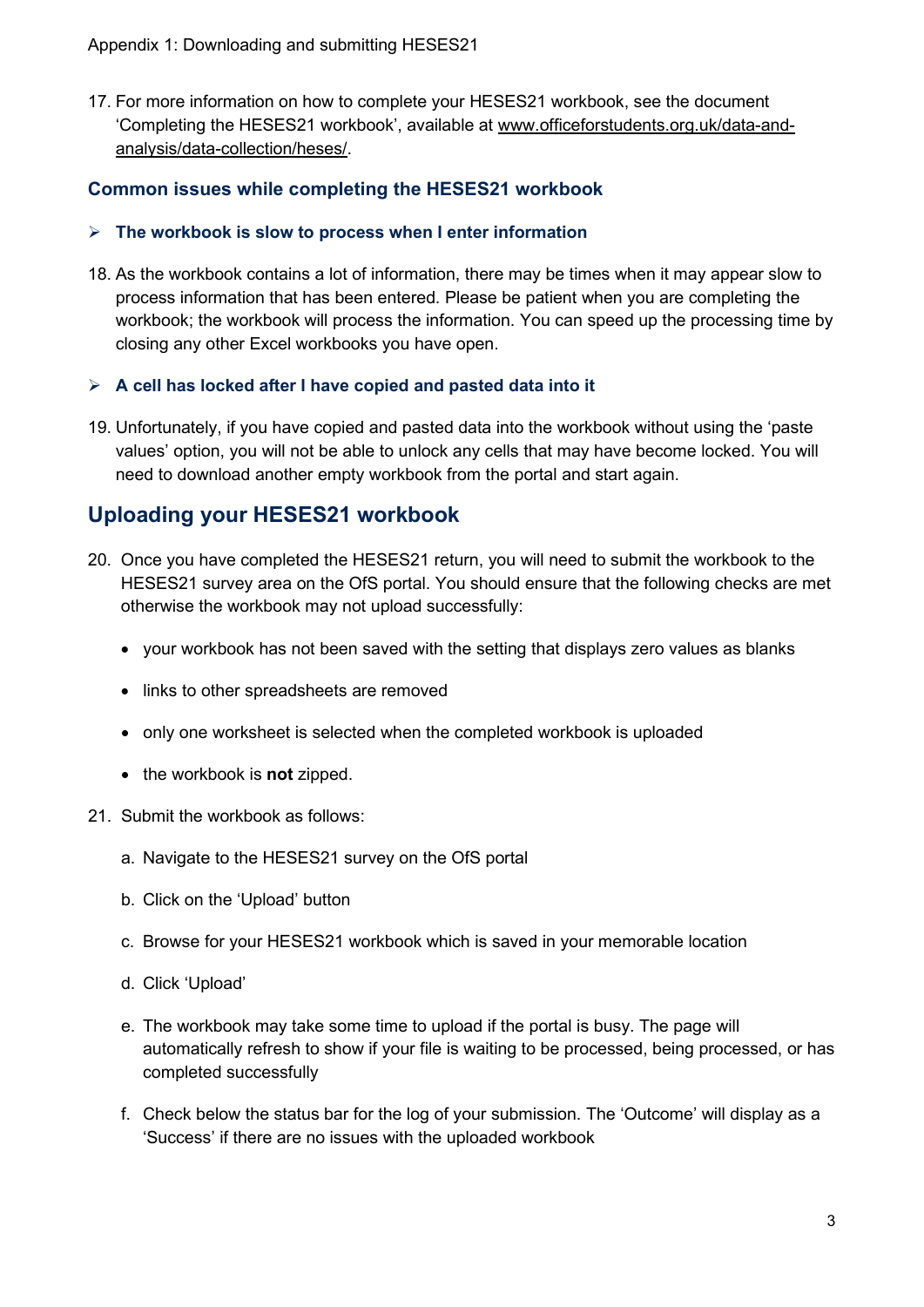17. For more information on how to complete your HESES21 workbook, see the document 'Completing the HESES21 workbook', available at [www.officeforstudents.org.uk/data-and](https://www.officeforstudents.org.uk/data-and-analysis/data-collection/heses/)[analysis/data-collection/heses/.](https://www.officeforstudents.org.uk/data-and-analysis/data-collection/heses/)

## **Common issues while completing the HESES21 workbook**

#### **The workbook is slow to process when I enter information**

18. As the workbook contains a lot of information, there may be times when it may appear slow to process information that has been entered. Please be patient when you are completing the workbook; the workbook will process the information. You can speed up the processing time by closing any other Excel workbooks you have open.

## **A cell has locked after I have copied and pasted data into it**

19. Unfortunately, if you have copied and pasted data into the workbook without using the 'paste values' option, you will not be able to unlock any cells that may have become locked. You will need to download another empty workbook from the portal and start again.

## **Uploading your HESES21 workbook**

- 20. Once you have completed the HESES21 return, you will need to submit the workbook to the HESES21 survey area on the OfS portal. You should ensure that the following checks are met otherwise the workbook may not upload successfully:
	- your workbook has not been saved with the setting that displays zero values as blanks
	- links to other spreadsheets are removed
	- only one worksheet is selected when the completed workbook is uploaded
	- the workbook is **not** zipped.
- 21. Submit the workbook as follows:
	- a. Navigate to the HESES21 survey on the OfS portal
	- b. Click on the 'Upload' button
	- c. Browse for your HESES21 workbook which is saved in your memorable location
	- d. Click 'Upload'
	- e. The workbook may take some time to upload if the portal is busy. The page will automatically refresh to show if your file is waiting to be processed, being processed, or has completed successfully
	- f. Check below the status bar for the log of your submission. The 'Outcome' will display as a 'Success' if there are no issues with the uploaded workbook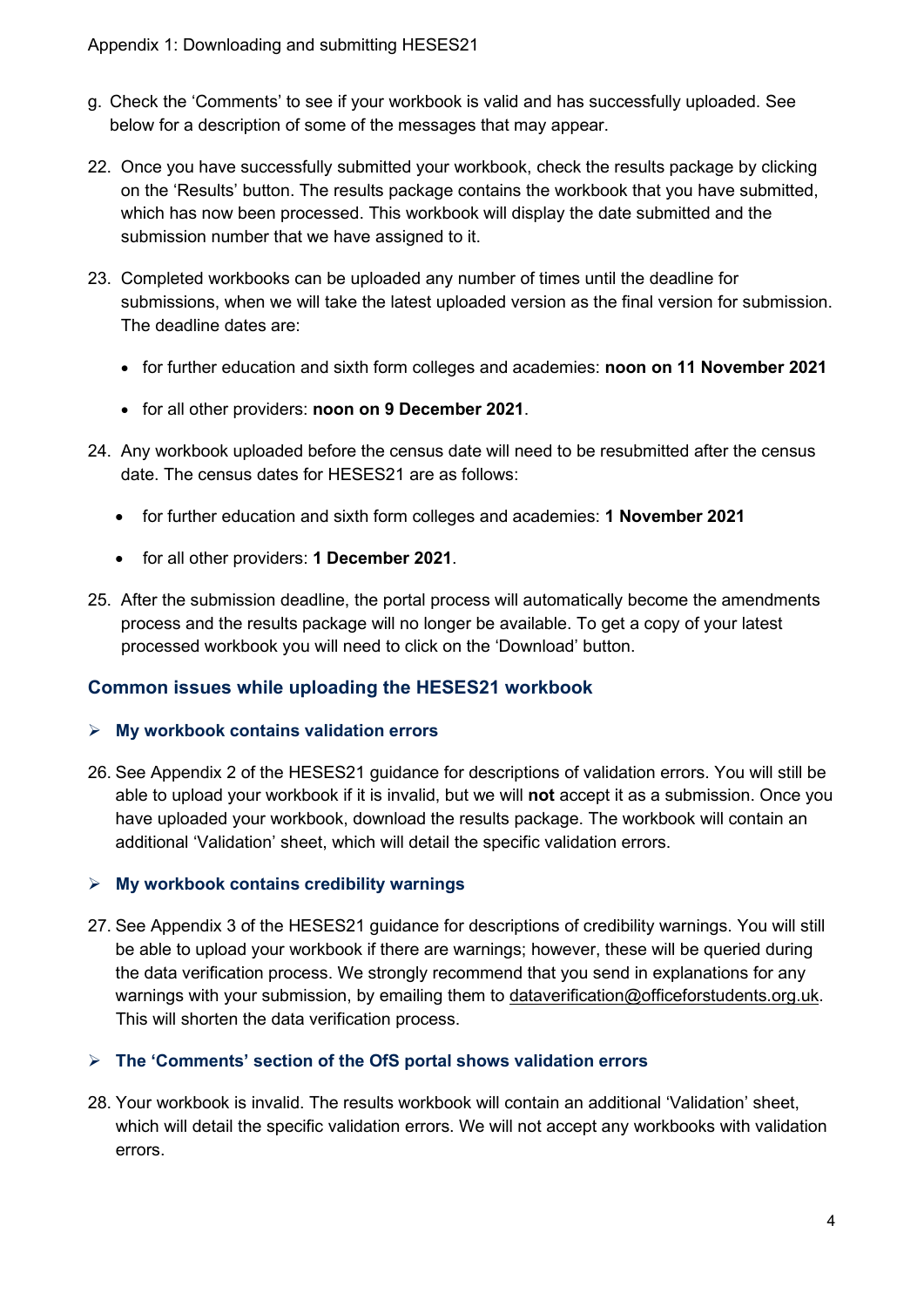- g. Check the 'Comments' to see if your workbook is valid and has successfully uploaded. See below for a description of some of the messages that may appear.
- 22. Once you have successfully submitted your workbook, check the results package by clicking on the 'Results' button. The results package contains the workbook that you have submitted, which has now been processed. This workbook will display the date submitted and the submission number that we have assigned to it.
- 23. Completed workbooks can be uploaded any number of times until the deadline for submissions, when we will take the latest uploaded version as the final version for submission. The deadline dates are:
	- for further education and sixth form colleges and academies: **noon on 11 November 2021**
	- for all other providers: **noon on 9 December 2021**.
- 24. Any workbook uploaded before the census date will need to be resubmitted after the census date. The census dates for HESES21 are as follows:
	- for further education and sixth form colleges and academies: **1 November 2021**
	- for all other providers: **1 December 2021**.
- 25. After the submission deadline, the portal process will automatically become the amendments process and the results package will no longer be available. To get a copy of your latest processed workbook you will need to click on the 'Download' button.

## **Common issues while uploading the HESES21 workbook**

## **My workbook contains validation errors**

26. See Appendix 2 of the HESES21 guidance for descriptions of validation errors. You will still be able to upload your workbook if it is invalid, but we will **not** accept it as a submission. Once you have uploaded your workbook, download the results package. The workbook will contain an additional 'Validation' sheet, which will detail the specific validation errors.

## **My workbook contains credibility warnings**

27. See Appendix 3 of the HESES21 guidance for descriptions of credibility warnings. You will still be able to upload your workbook if there are warnings; however, these will be queried during the data verification process. We strongly recommend that you send in explanations for any warnings with your submission, by emailing them to [dataverification@officeforstudents.org.uk.](mailto:dataverification@officeforstudents.org.uk) This will shorten the data verification process.

## **The 'Comments' section of the OfS portal shows validation errors**

28. Your workbook is invalid. The results workbook will contain an additional 'Validation' sheet, which will detail the specific validation errors. We will not accept any workbooks with validation errors.